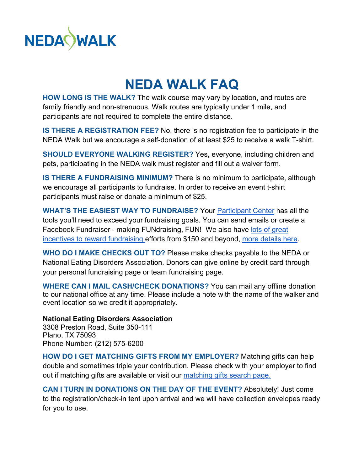

## **NEDA WALK FAQ**

**HOW LONG IS THE WALK?** The walk course may vary by location, and routes are family friendly and non-strenuous. Walk routes are typically under 1 mile, and participants are not required to complete the entire distance.

**IS THERE A REGISTRATION FEE?** No, there is no registration fee to participate in the NEDA Walk but we encourage a self-donation of at least \$25 to receive a walk T-shirt.

**SHOULD EVERYONE WALKING REGISTER?** Yes, everyone, including children and pets, participating in the NEDA walk must register and fill out a waiver form.

**IS THERE A FUNDRAISING MINIMUM?** There is no minimum to participate, although we encourage all participants to fundraise. In order to receive an event t-shirt participants must raise or donate a minimum of \$25.

**WHAT'S THE EASIEST WAY TO FUNDRAISE?** Your [Participant Center](http://neda.nationaleatingdisorders.org/site/UserLogin?NEXTURL=http%3A%2F%2Fneda.nationaleatingdisorders.org%2Fsite%2FTRC%2FEvents%2FGeneral%3Fpg%3Dcenter%26fr_id%3D4828) has all the tools you'll need to exceed your fundraising goals. You can send emails or create a Facebook Fundraiser - making FUNdraising, FUN! We also have lots of great [incentives to reward fundraising](https://nedawalk.org/sites/default/files/NEDA%20Walk%20Spring%20Rec%20Program%20Flyer.pdf) efforts from \$150 and beyond, [more details here.](https://nedawalk.org/walker-tools)

**WHO DO I MAKE CHECKS OUT TO?** Please make checks payable to the NEDA or National Eating Disorders Association. Donors can give online by credit card through your personal fundraising page or team fundraising page.

**WHERE CAN I MAIL CASH/CHECK DONATIONS?** You can mail any offline donation to our national office at any time. Please include a note with the name of the walker and event location so we credit it appropriately.

## **National Eating Disorders Association**

3308 Preston Road, Suite 350-111 Plano, TX 75093 Phone Number: (212) 575-6200

**HOW DO I GET MATCHING GIFTS FROM MY EMPLOYER?** Matching gifts can help double and sometimes triple your contribution. Please check with your employer to find out if matching gifts are available or visit our [matching gifts search page.](https://www.nationaleatingdisorders.org/ways-to-give/matching-gifts)

**CAN I TURN IN DONATIONS ON THE DAY OF THE EVENT?** Absolutely! Just come to the registration/check-in tent upon arrival and we will have collection envelopes ready for you to use.